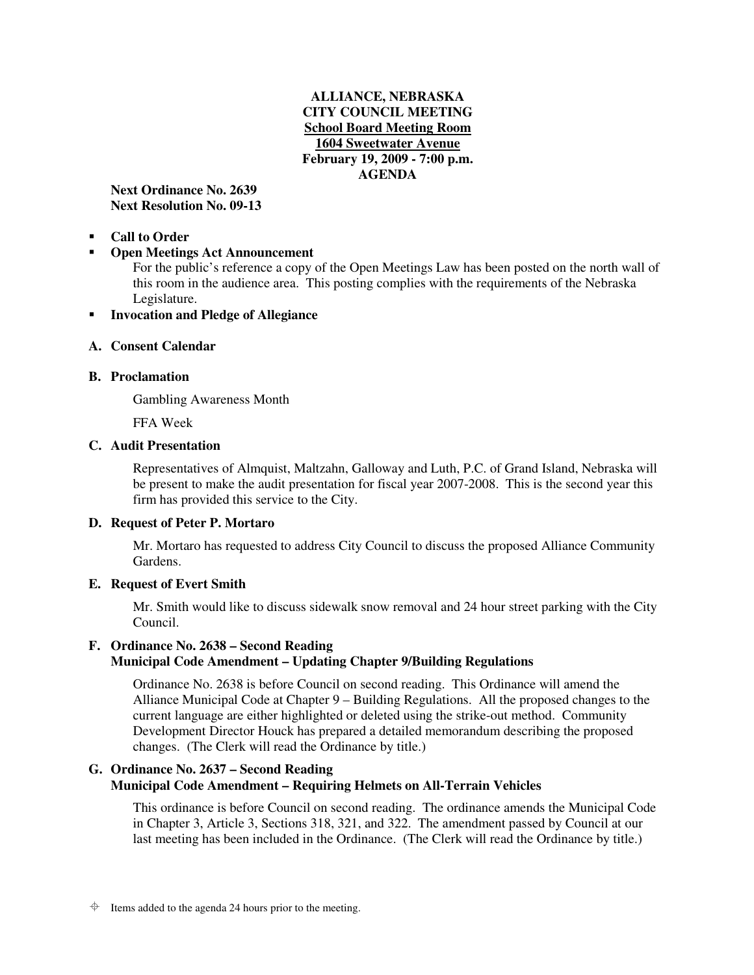# **ALLIANCE, NEBRASKA CITY COUNCIL MEETING School Board Meeting Room 1604 Sweetwater Avenue February 19, 2009 - 7:00 p.m. AGENDA**

**Next Ordinance No. 2639 Next Resolution No. 09-13** 

-**Call to Order** 

### -**Open Meetings Act Announcement**

For the public's reference a copy of the Open Meetings Law has been posted on the north wall of this room in the audience area. This posting complies with the requirements of the Nebraska Legislature.

#### -**Invocation and Pledge of Allegiance**

# **A. Consent Calendar**

## **B. Proclamation**

Gambling Awareness Month

FFA Week

# **C. Audit Presentation**

Representatives of Almquist, Maltzahn, Galloway and Luth, P.C. of Grand Island, Nebraska will be present to make the audit presentation for fiscal year 2007-2008. This is the second year this firm has provided this service to the City.

# **D. Request of Peter P. Mortaro**

Mr. Mortaro has requested to address City Council to discuss the proposed Alliance Community Gardens.

## **E. Request of Evert Smith**

Mr. Smith would like to discuss sidewalk snow removal and 24 hour street parking with the City Council.

# **F. Ordinance No. 2638 – Second Reading Municipal Code Amendment – Updating Chapter 9/Building Regulations**

Ordinance No. 2638 is before Council on second reading. This Ordinance will amend the Alliance Municipal Code at Chapter 9 – Building Regulations. All the proposed changes to the current language are either highlighted or deleted using the strike-out method. Community Development Director Houck has prepared a detailed memorandum describing the proposed changes. (The Clerk will read the Ordinance by title.)

# **G. Ordinance No. 2637 – Second Reading Municipal Code Amendment – Requiring Helmets on All-Terrain Vehicles**

This ordinance is before Council on second reading. The ordinance amends the Municipal Code in Chapter 3, Article 3, Sections 318, 321, and 322. The amendment passed by Council at our last meeting has been included in the Ordinance. (The Clerk will read the Ordinance by title.)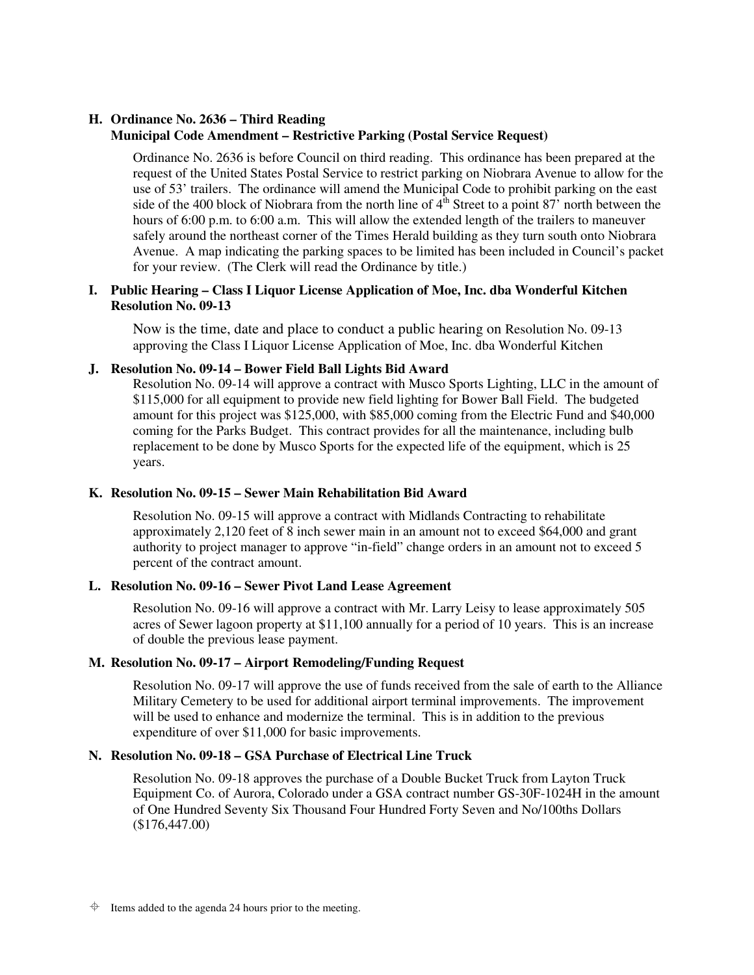# **H. Ordinance No. 2636 – Third Reading**

# **Municipal Code Amendment – Restrictive Parking (Postal Service Request)**

Ordinance No. 2636 is before Council on third reading. This ordinance has been prepared at the request of the United States Postal Service to restrict parking on Niobrara Avenue to allow for the use of 53' trailers. The ordinance will amend the Municipal Code to prohibit parking on the east side of the 400 block of Niobrara from the north line of  $4<sup>th</sup>$  Street to a point 87<sup>'</sup> north between the hours of 6:00 p.m. to 6:00 a.m. This will allow the extended length of the trailers to maneuver safely around the northeast corner of the Times Herald building as they turn south onto Niobrara Avenue. A map indicating the parking spaces to be limited has been included in Council's packet for your review. (The Clerk will read the Ordinance by title.)

# **I. Public Hearing – Class I Liquor License Application of Moe, Inc. dba Wonderful Kitchen Resolution No. 09-13**

Now is the time, date and place to conduct a public hearing on Resolution No. 09-13 approving the Class I Liquor License Application of Moe, Inc. dba Wonderful Kitchen

# **J. Resolution No. 09-14 – Bower Field Ball Lights Bid Award**

Resolution No. 09-14 will approve a contract with Musco Sports Lighting, LLC in the amount of \$115,000 for all equipment to provide new field lighting for Bower Ball Field. The budgeted amount for this project was \$125,000, with \$85,000 coming from the Electric Fund and \$40,000 coming for the Parks Budget. This contract provides for all the maintenance, including bulb replacement to be done by Musco Sports for the expected life of the equipment, which is 25 years.

## **K. Resolution No. 09-15 – Sewer Main Rehabilitation Bid Award**

Resolution No. 09-15 will approve a contract with Midlands Contracting to rehabilitate approximately 2,120 feet of 8 inch sewer main in an amount not to exceed \$64,000 and grant authority to project manager to approve "in-field" change orders in an amount not to exceed 5 percent of the contract amount.

## **L. Resolution No. 09-16 – Sewer Pivot Land Lease Agreement**

Resolution No. 09-16 will approve a contract with Mr. Larry Leisy to lease approximately 505 acres of Sewer lagoon property at \$11,100 annually for a period of 10 years. This is an increase of double the previous lease payment.

# **M. Resolution No. 09-17 – Airport Remodeling/Funding Request**

Resolution No. 09-17 will approve the use of funds received from the sale of earth to the Alliance Military Cemetery to be used for additional airport terminal improvements. The improvement will be used to enhance and modernize the terminal. This is in addition to the previous expenditure of over \$11,000 for basic improvements.

# **N. Resolution No. 09-18 – GSA Purchase of Electrical Line Truck**

Resolution No. 09-18 approves the purchase of a Double Bucket Truck from Layton Truck Equipment Co. of Aurora, Colorado under a GSA contract number GS-30F-1024H in the amount of One Hundred Seventy Six Thousand Four Hundred Forty Seven and No/100ths Dollars (\$176,447.00)